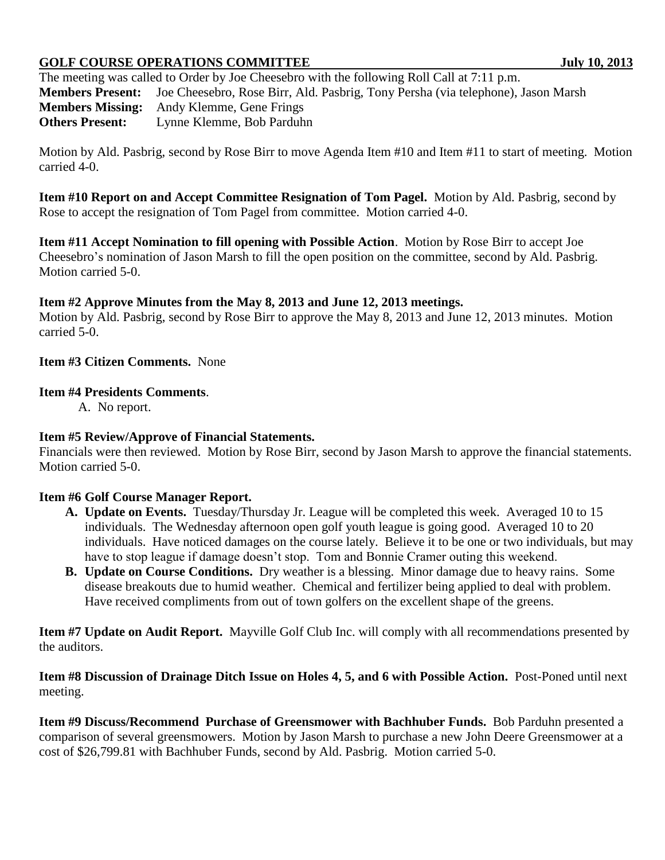# GOLF COURSE OPERATIONS COMMITTEE **July 10, 2013**

The meeting was called to Order by Joe Cheesebro with the following Roll Call at 7:11 p.m. **Members Present:** Joe Cheesebro, Rose Birr, Ald. Pasbrig, Tony Persha (via telephone), Jason Marsh **Members Missing:** Andy Klemme, Gene Frings **Others Present:** Lynne Klemme, Bob Parduhn

Motion by Ald. Pasbrig, second by Rose Birr to move Agenda Item #10 and Item #11 to start of meeting. Motion carried 4-0.

**Item #10 Report on and Accept Committee Resignation of Tom Pagel.** Motion by Ald. Pasbrig, second by Rose to accept the resignation of Tom Pagel from committee. Motion carried 4-0.

**Item #11 Accept Nomination to fill opening with Possible Action**. Motion by Rose Birr to accept Joe Cheesebro's nomination of Jason Marsh to fill the open position on the committee, second by Ald. Pasbrig. Motion carried 5-0.

# **Item #2 Approve Minutes from the May 8, 2013 and June 12, 2013 meetings.**

Motion by Ald. Pasbrig, second by Rose Birr to approve the May 8, 2013 and June 12, 2013 minutes. Motion carried 5-0.

# **Item #3 Citizen Comments.** None

### **Item #4 Presidents Comments**.

A. No report.

# **Item #5 Review/Approve of Financial Statements.**

Financials were then reviewed. Motion by Rose Birr, second by Jason Marsh to approve the financial statements. Motion carried 5-0.

# **Item #6 Golf Course Manager Report.**

- **A. Update on Events.** Tuesday/Thursday Jr. League will be completed this week. Averaged 10 to 15 individuals. The Wednesday afternoon open golf youth league is going good. Averaged 10 to 20 individuals. Have noticed damages on the course lately. Believe it to be one or two individuals, but may have to stop league if damage doesn't stop. Tom and Bonnie Cramer outing this weekend.
- **B. Update on Course Conditions.** Dry weather is a blessing. Minor damage due to heavy rains. Some disease breakouts due to humid weather. Chemical and fertilizer being applied to deal with problem. Have received compliments from out of town golfers on the excellent shape of the greens.

**Item #7 Update on Audit Report.** Mayville Golf Club Inc. will comply with all recommendations presented by the auditors.

**Item #8 Discussion of Drainage Ditch Issue on Holes 4, 5, and 6 with Possible Action.** Post-Poned until next meeting.

**Item #9 Discuss/Recommend Purchase of Greensmower with Bachhuber Funds.** Bob Parduhn presented a comparison of several greensmowers. Motion by Jason Marsh to purchase a new John Deere Greensmower at a cost of \$26,799.81 with Bachhuber Funds, second by Ald. Pasbrig. Motion carried 5-0.